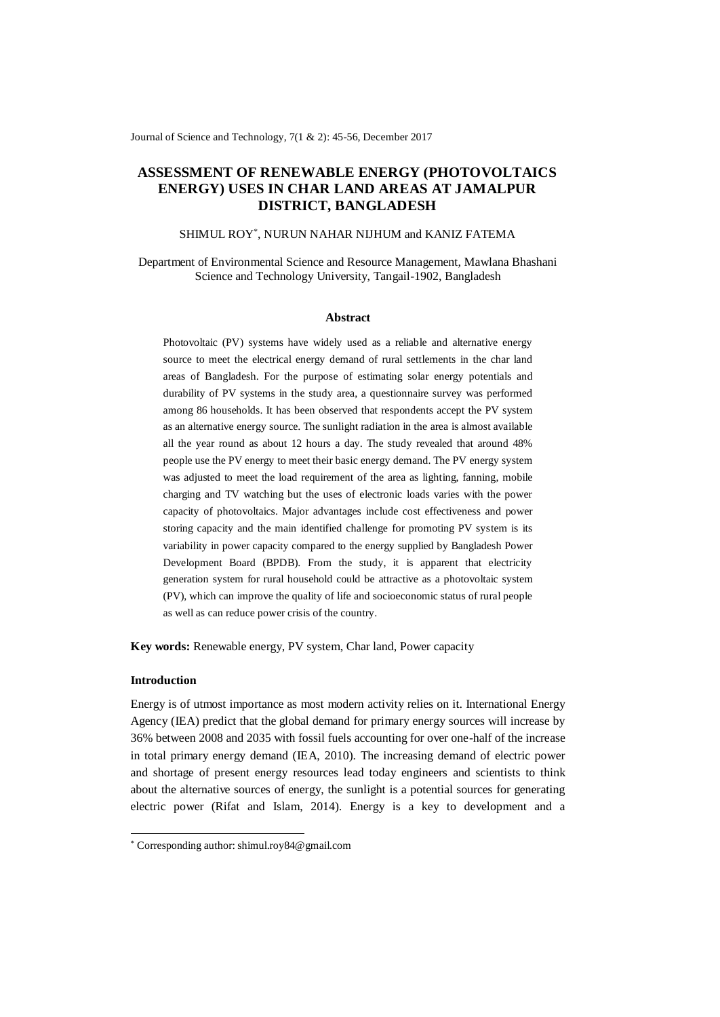Journal of Science and Technology, 7(1 & 2): 45-56, December 2017

# **ASSESSMENT OF RENEWABLE ENERGY (PHOTOVOLTAICS ENERGY) USES IN CHAR LAND AREAS AT JAMALPUR DISTRICT, BANGLADESH**

# SHIMUL ROY\* , NURUN NAHAR NIJHUM and KANIZ FATEMA

Department of Environmental Science and Resource Management, Mawlana Bhashani Science and Technology University, Tangail-1902, Bangladesh

#### **Abstract**

Photovoltaic (PV) systems have widely used as a reliable and alternative energy source to meet the electrical energy demand of rural settlements in the char land areas of Bangladesh. For the purpose of estimating solar energy potentials and durability of PV systems in the study area, a questionnaire survey was performed among 86 households. It has been observed that respondents accept the PV system as an alternative energy source. The sunlight radiation in the area is almost available all the year round as about 12 hours a day. The study revealed that around 48% people use the PV energy to meet their basic energy demand. The PV energy system was adjusted to meet the load requirement of the area as lighting, fanning, mobile charging and TV watching but the uses of electronic loads varies with the power capacity of photovoltaics. Major advantages include cost effectiveness and power storing capacity and the main identified challenge for promoting PV system is its variability in power capacity compared to the energy supplied by Bangladesh Power Development Board (BPDB). From the study, it is apparent that electricity generation system for rural household could be attractive as a photovoltaic system (PV), which can improve the quality of life and socioeconomic status of rural people as well as can reduce power crisis of the country.

**Key words:** Renewable energy, PV system, Char land, Power capacity

# **Introduction**

 $\overline{a}$ 

Energy is of utmost importance as most modern activity relies on it. International Energy Agency (IEA) predict that the global demand for primary energy sources will increase by 36% between 2008 and 2035 with fossil fuels accounting for over one-half of the increase in total primary energy demand (IEA, 2010). The increasing demand of electric power and shortage of present energy resources lead today engineers and scientists to think about the alternative sources of energy, the sunlight is a potential sources for generating electric power (Rifat and Islam, 2014). Energy is a key to development and a

<sup>\*</sup> Corresponding author: shimul.roy84@gmail.com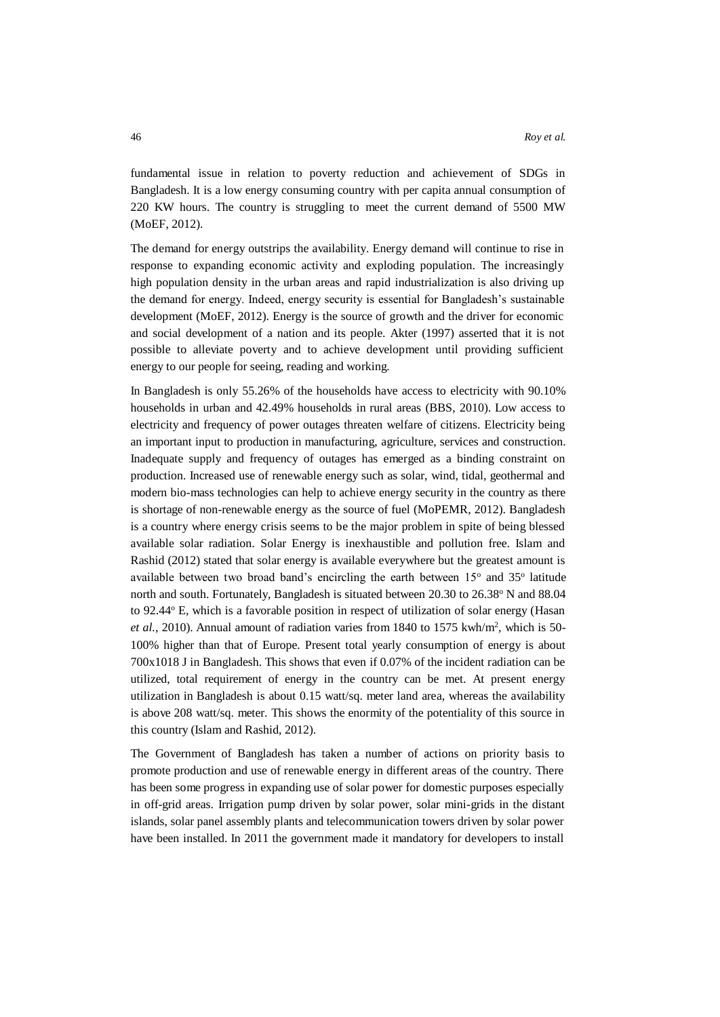fundamental issue in relation to poverty reduction and achievement of SDGs in Bangladesh. It is a low energy consuming country with per capita annual consumption of 220 KW hours. The country is struggling to meet the current demand of 5500 MW (MoEF, 2012).

The demand for energy outstrips the availability. Energy demand will continue to rise in response to expanding economic activity and exploding population. The increasingly high population density in the urban areas and rapid industrialization is also driving up the demand for energy. Indeed, energy security is essential for Bangladesh's sustainable development (MoEF, 2012). Energy is the source of growth and the driver for economic and social development of a nation and its people. Akter (1997) asserted that it is not possible to alleviate poverty and to achieve development until providing sufficient energy to our people for seeing, reading and working.

In Bangladesh is only 55.26% of the households have access to electricity with 90.10% households in urban and 42.49% households in rural areas (BBS, 2010). Low access to electricity and frequency of power outages threaten welfare of citizens. Electricity being an important input to production in manufacturing, agriculture, services and construction. Inadequate supply and frequency of outages has emerged as a binding constraint on production. Increased use of renewable energy such as solar, wind, tidal, geothermal and modern bio-mass technologies can help to achieve energy security in the country as there is shortage of non-renewable energy as the source of fuel (MoPEMR, 2012). Bangladesh is a country where energy crisis seems to be the major problem in spite of being blessed available solar radiation. Solar Energy is inexhaustible and pollution free. Islam and Rashid (2012) stated that solar energy is available everywhere but the greatest amount is available between two broad band's encircling the earth between  $15^{\circ}$  and  $35^{\circ}$  latitude north and south. Fortunately, Bangladesh is situated between 20.30 to 26.38° N and 88.04 to 92.44° E, which is a favorable position in respect of utilization of solar energy (Hasan et al., 2010). Annual amount of radiation varies from 1840 to 1575 kwh/m<sup>2</sup>, which is 50-100% higher than that of Europe. Present total yearly consumption of energy is about 700x1018 J in Bangladesh. This shows that even if 0.07% of the incident radiation can be utilized, total requirement of energy in the country can be met. At present energy utilization in Bangladesh is about 0.15 watt/sq. meter land area, whereas the availability is above 208 watt/sq. meter. This shows the enormity of the potentiality of this source in this country (Islam and Rashid, 2012).

The Government of Bangladesh has taken a number of actions on priority basis to promote production and use of renewable energy in different areas of the country. There has been some progress in expanding use of solar power for domestic purposes especially in off-grid areas. Irrigation pump driven by solar power, solar mini-grids in the distant islands, solar panel assembly plants and telecommunication towers driven by solar power have been installed. In 2011 the government made it mandatory for developers to install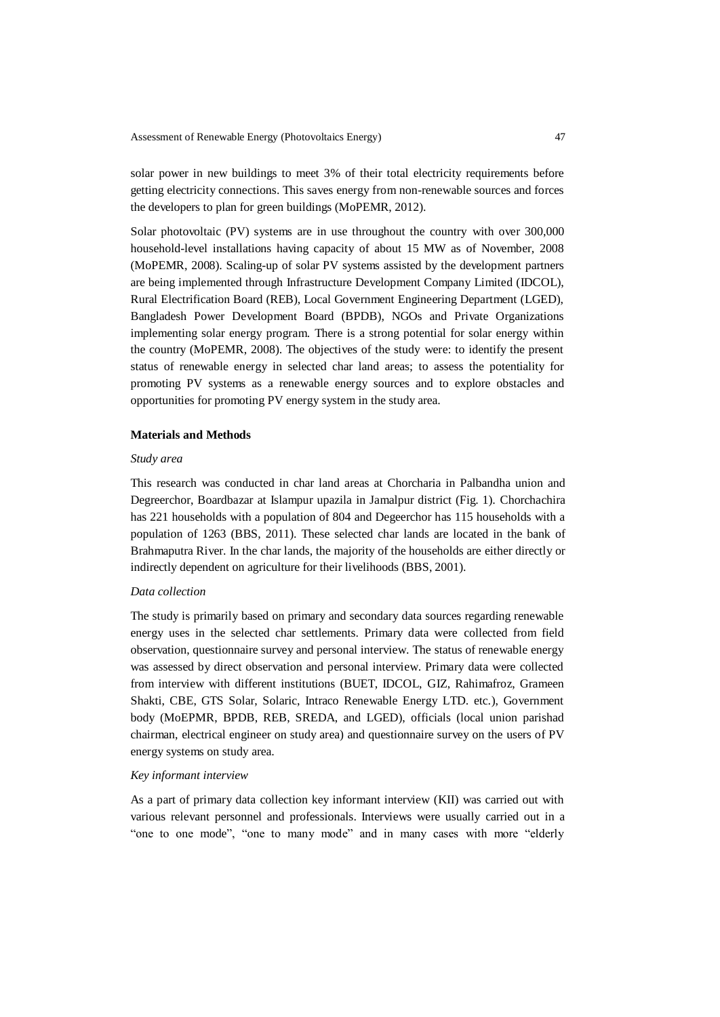solar power in new buildings to meet 3% of their total electricity requirements before getting electricity connections. This saves energy from non-renewable sources and forces the developers to plan for green buildings (MoPEMR, 2012).

Solar photovoltaic (PV) systems are in use throughout the country with over 300,000 household-level installations having capacity of about 15 MW as of November, 2008 (MoPEMR, 2008). Scaling-up of solar PV systems assisted by the development partners are being implemented through Infrastructure Development Company Limited (IDCOL), Rural Electrification Board (REB), Local Government Engineering Department (LGED), Bangladesh Power Development Board (BPDB), NGOs and Private Organizations implementing solar energy program. There is a strong potential for solar energy within the country (MoPEMR, 2008). The objectives of the study were: to identify the present status of renewable energy in selected char land areas; to assess the potentiality for promoting PV systems as a renewable energy sources and to explore obstacles and opportunities for promoting PV energy system in the study area.

### **Materials and Methods**

### *Study area*

This research was conducted in char land areas at Chorcharia in Palbandha union and Degreerchor, Boardbazar at Islampur upazila in Jamalpur district (Fig. 1). Chorchachira has 221 households with a population of 804 and Degeerchor has 115 households with a population of 1263 (BBS, 2011). These selected char lands are located in the bank of Brahmaputra River. In the char lands, the majority of the households are either directly or indirectly dependent on agriculture for their livelihoods (BBS, 2001).

### *Data collection*

The study is primarily based on primary and secondary data sources regarding renewable energy uses in the selected char settlements. Primary data were collected from field observation, questionnaire survey and personal interview. The status of renewable energy was assessed by direct observation and personal interview. Primary data were collected from interview with different institutions (BUET, IDCOL, GIZ, Rahimafroz, Grameen Shakti, CBE, GTS Solar, Solaric, Intraco Renewable Energy LTD. etc.), Government body (MoEPMR, BPDB, REB, SREDA, and LGED), officials (local union parishad chairman, electrical engineer on study area) and questionnaire survey on the users of PV energy systems on study area.

### *Key informant interview*

As a part of primary data collection key informant interview (KII) was carried out with various relevant personnel and professionals. Interviews were usually carried out in a "one to one mode", "one to many mode" and in many cases with more "elderly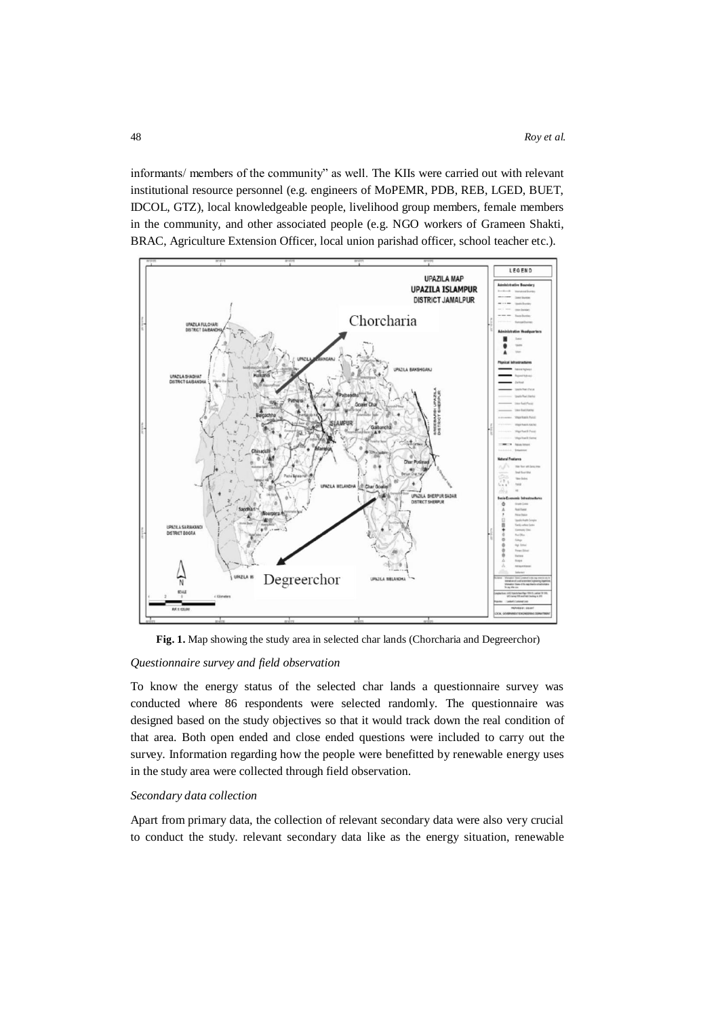informants/ members of the community" as well. The KIIs were carried out with relevant institutional resource personnel (e.g. engineers of MoPEMR, PDB, REB, LGED, BUET, IDCOL, GTZ), local knowledgeable people, livelihood group members, female members in the community, and other associated people (e.g. NGO workers of Grameen Shakti, BRAC, Agriculture Extension Officer, local union parishad officer, school teacher etc.).



**Fig. 1.** Map showing the study area in selected char lands (Chorcharia and Degreerchor)

### *Questionnaire survey and field observation*

To know the energy status of the selected char lands a questionnaire survey was conducted where 86 respondents were selected randomly. The questionnaire was designed based on the study objectives so that it would track down the real condition of that area. Both open ended and close ended questions were included to carry out the survey. Information regarding how the people were benefitted by renewable energy uses in the study area were collected through field observation.

### *Secondary data collection*

Apart from primary data, the collection of relevant secondary data were also very crucial to conduct the study. relevant secondary data like as the energy situation, renewable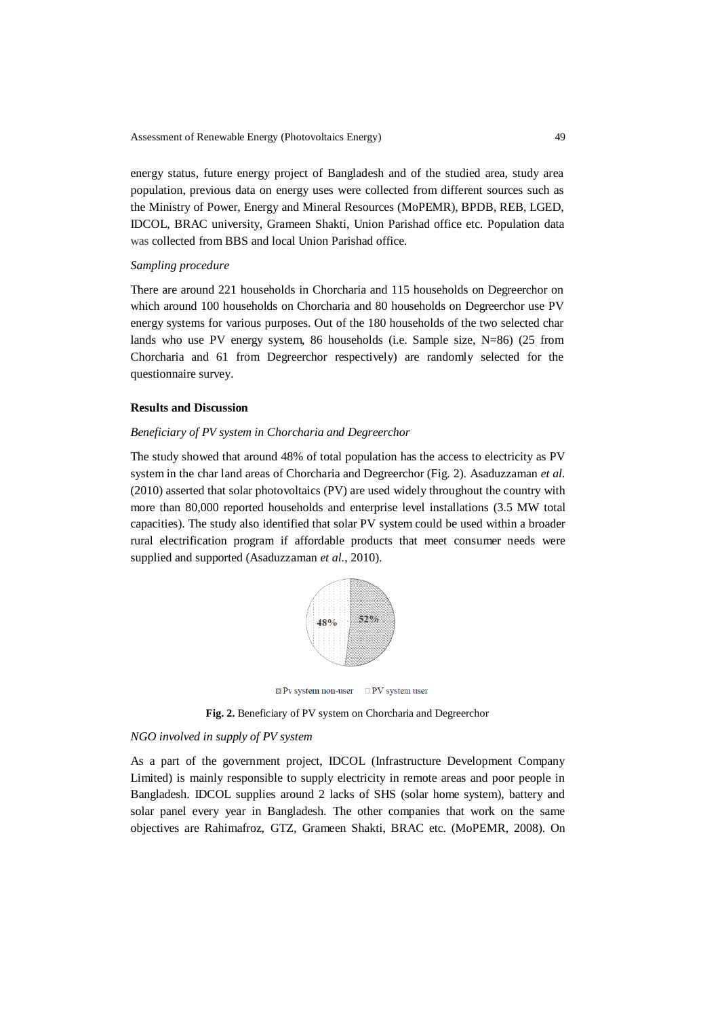energy status, future energy project of Bangladesh and of the studied area, study area population, previous data on energy uses were collected from different sources such as the Ministry of Power, Energy and Mineral Resources (MoPEMR), BPDB, REB, LGED, IDCOL, BRAC university, Grameen Shakti, Union Parishad office etc. Population data was collected from BBS and local Union Parishad office.

### *Sampling procedure*

There are around 221 households in Chorcharia and 115 households on Degreerchor on which around 100 households on Chorcharia and 80 households on Degreerchor use PV energy systems for various purposes. Out of the 180 households of the two selected char lands who use PV energy system, 86 households (i.e. Sample size, N=86) (25 from Chorcharia and 61 from Degreerchor respectively) are randomly selected for the questionnaire survey.

# **Results and Discussion**

### *Beneficiary of PV system in Chorcharia and Degreerchor*

The study showed that around 48% of total population has the access to electricity as PV system in the char land areas of Chorcharia and Degreerchor (Fig. 2). Asaduzzaman *et al.*  (2010) asserted that solar photovoltaics (PV) are used widely throughout the country with more than 80,000 reported households and enterprise level installations (3.5 MW total capacities). The study also identified that solar PV system could be used within a broader rural electrification program if affordable products that meet consumer needs were supplied and supported (Asaduzzaman *et al.*, 2010).



**Fig. 2.** Beneficiary of PV system on Chorcharia and Degreerchor

# *NGO involved in supply of PV system*

As a part of the government project, IDCOL (Infrastructure Development Company Limited) is mainly responsible to supply electricity in remote areas and poor people in Bangladesh. IDCOL supplies around 2 lacks of SHS (solar home system), battery and solar panel every year in Bangladesh. The other companies that work on the same objectives are Rahimafroz, GTZ, Grameen Shakti, BRAC etc. (MoPEMR, 2008). On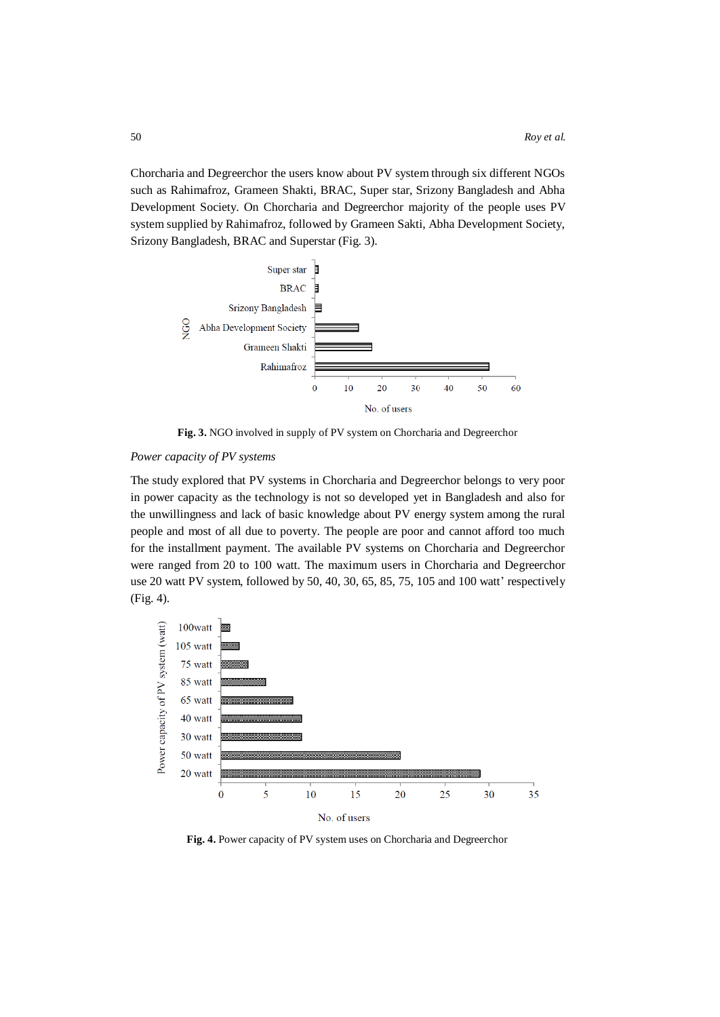Chorcharia and Degreerchor the users know about PV system through six different NGOs such as Rahimafroz, Grameen Shakti, BRAC, Super star, Srizony Bangladesh and Abha Development Society. On Chorcharia and Degreerchor majority of the people uses PV system supplied by Rahimafroz, followed by Grameen Sakti, Abha Development Society, Srizony Bangladesh, BRAC and Superstar (Fig. 3).



**Fig. 3.** NGO involved in supply of PV system on Chorcharia and Degreerchor

### *Power capacity of PV systems*

The study explored that PV systems in Chorcharia and Degreerchor belongs to very poor in power capacity as the technology is not so developed yet in Bangladesh and also for the unwillingness and lack of basic knowledge about PV energy system among the rural people and most of all due to poverty. The people are poor and cannot afford too much for the installment payment. The available PV systems on Chorcharia and Degreerchor were ranged from 20 to 100 watt. The maximum users in Chorcharia and Degreerchor use 20 watt PV system, followed by 50, 40, 30, 65, 85, 75, 105 and 100 watt' respectively (Fig. 4).



**Fig. 4.** Power capacity of PV system uses on Chorcharia and Degreerchor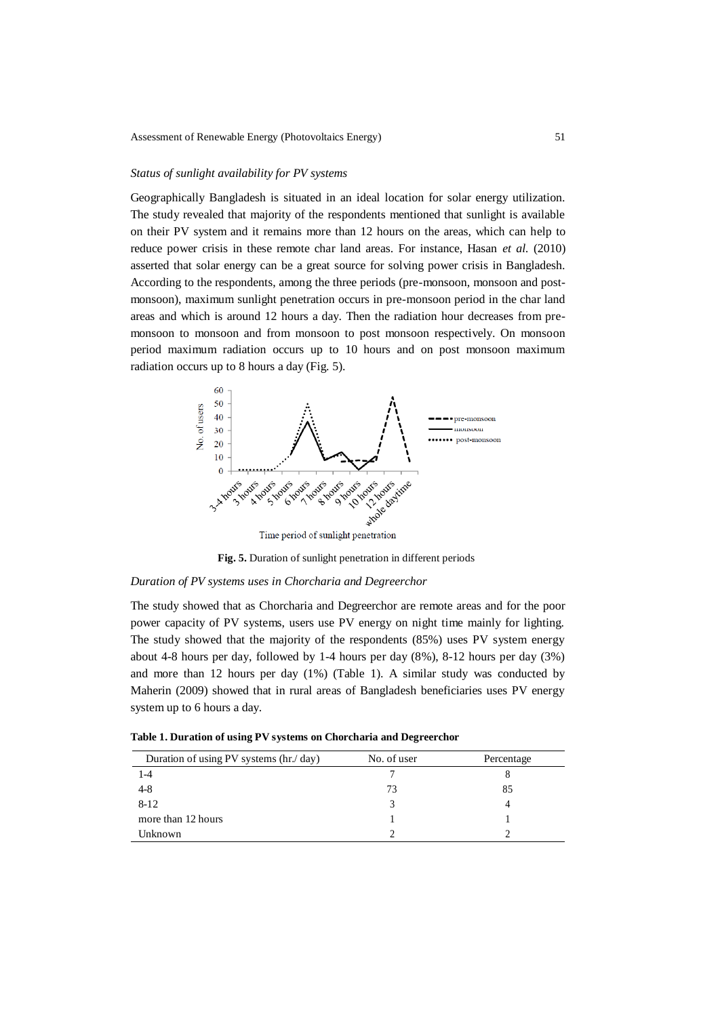### *Status of sunlight availability for PV systems*

Geographically Bangladesh is situated in an ideal location for solar energy utilization. The study revealed that majority of the respondents mentioned that sunlight is available on their PV system and it remains more than 12 hours on the areas, which can help to reduce power crisis in these remote char land areas. For instance, Hasan *et al.* (2010) asserted that solar energy can be a great source for solving power crisis in Bangladesh. According to the respondents, among the three periods (pre-monsoon, monsoon and postmonsoon), maximum sunlight penetration occurs in pre-monsoon period in the char land areas and which is around 12 hours a day. Then the radiation hour decreases from premonsoon to monsoon and from monsoon to post monsoon respectively. On monsoon period maximum radiation occurs up to 10 hours and on post monsoon maximum radiation occurs up to 8 hours a day (Fig. 5).



**Fig. 5.** Duration of sunlight penetration in different periods

### *Duration of PV systems uses in Chorcharia and Degreerchor*

The study showed that as Chorcharia and Degreerchor are remote areas and for the poor power capacity of PV systems, users use PV energy on night time mainly for lighting. The study showed that the majority of the respondents (85%) uses PV system energy about 4-8 hours per day, followed by 1-4 hours per day (8%), 8-12 hours per day (3%) and more than 12 hours per day  $(1\%)$  (Table 1). A similar study was conducted by Maherin (2009) showed that in rural areas of Bangladesh beneficiaries uses PV energy system up to 6 hours a day.

**Table 1. Duration of using PV systems on Chorcharia and Degreerchor**

| Duration of using PV systems (hr./day) | No. of user | Percentage |
|----------------------------------------|-------------|------------|
| 1-4                                    |             |            |
| $4 - 8$                                | 73          | 85         |
| $8 - 12$                               |             |            |
| more than 12 hours                     |             |            |
| Unknown                                |             |            |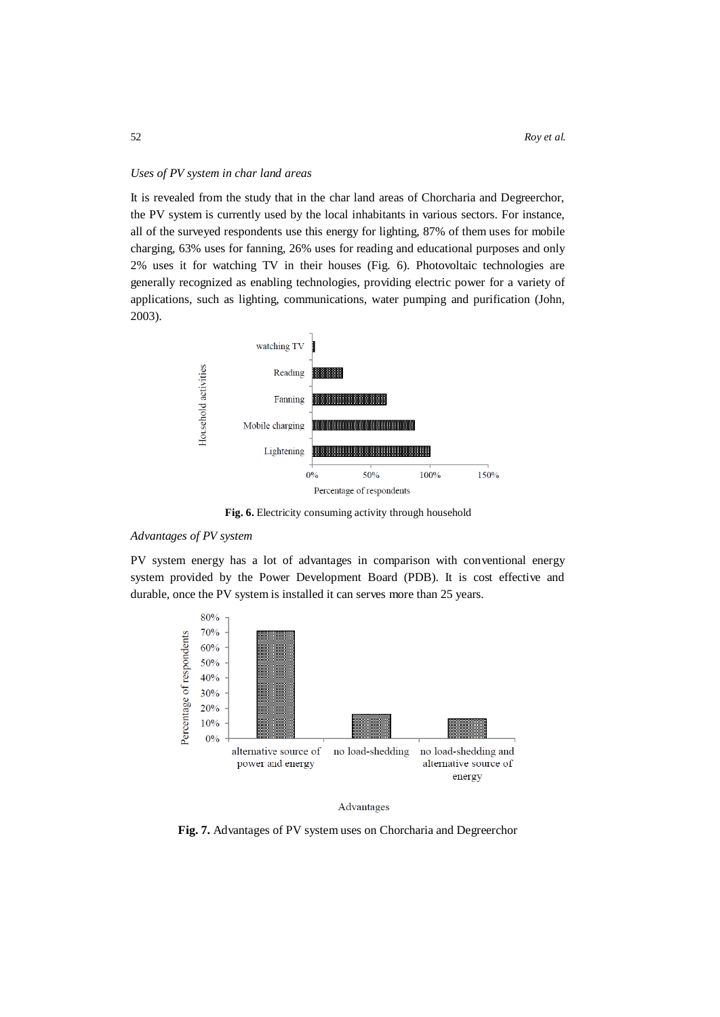# *Uses of PV system in char land areas*

It is revealed from the study that in the char land areas of Chorcharia and Degreerchor, the PV system is currently used by the local inhabitants in various sectors. For instance, all of the surveyed respondents use this energy for lighting, 87% of them uses for mobile charging, 63% uses for fanning, 26% uses for reading and educational purposes and only 2% uses it for watching TV in their houses (Fig. 6). Photovoltaic technologies are generally recognized as enabling technologies, providing electric power for a variety of applications, such as lighting, communications, water pumping and purification (John, 2003).



**Fig. 6.** Electricity consuming activity through household

# *Advantages of PV system*

PV system energy has a lot of advantages in comparison with conventional energy system provided by the Power Development Board (PDB). It is cost effective and durable, once the PV system is installed it can serves more than 25 years.





**Fig. 7.** Advantages of PV system uses on Chorcharia and Degreerchor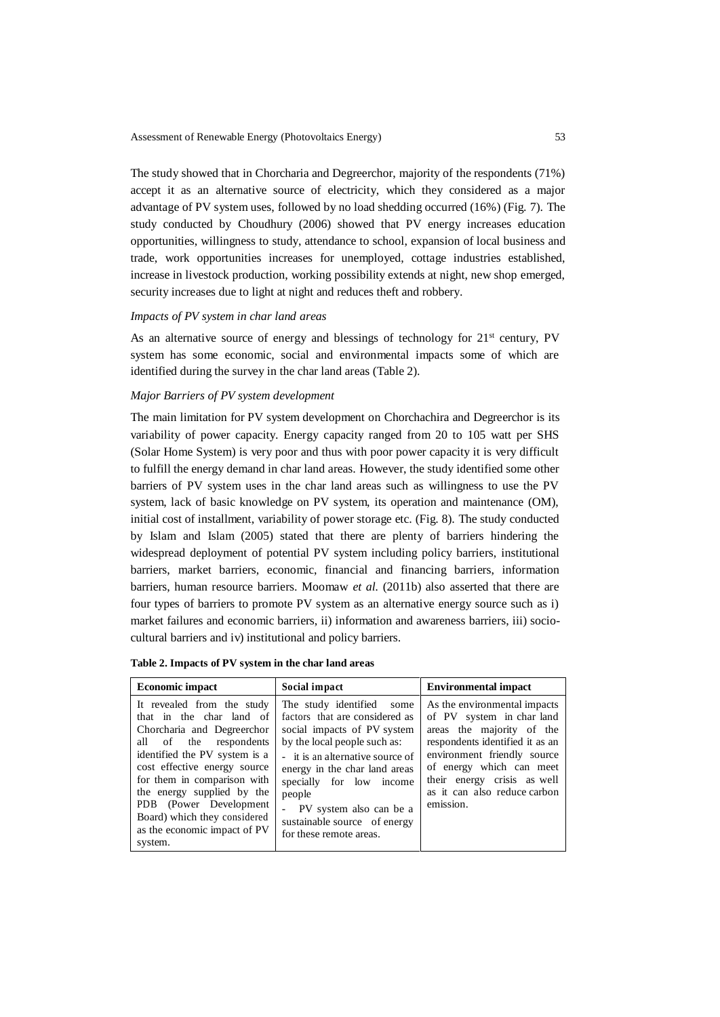The study showed that in Chorcharia and Degreerchor, majority of the respondents (71%) accept it as an alternative source of electricity, which they considered as a major advantage of PV system uses, followed by no load shedding occurred (16%) (Fig. 7). The study conducted by Choudhury (2006) showed that PV energy increases education opportunities, willingness to study, attendance to school, expansion of local business and trade, work opportunities increases for unemployed, cottage industries established, increase in livestock production, working possibility extends at night, new shop emerged, security increases due to light at night and reduces theft and robbery.

### *Impacts of PV system in char land areas*

As an alternative source of energy and blessings of technology for  $21<sup>st</sup>$  century, PV system has some economic, social and environmental impacts some of which are identified during the survey in the char land areas (Table 2).

# *Major Barriers of PV system development*

The main limitation for PV system development on Chorchachira and Degreerchor is its variability of power capacity. Energy capacity ranged from 20 to 105 watt per SHS (Solar Home System) is very poor and thus with poor power capacity it is very difficult to fulfill the energy demand in char land areas. However, the study identified some other barriers of PV system uses in the char land areas such as willingness to use the PV system, lack of basic knowledge on PV system, its operation and maintenance (OM), initial cost of installment, variability of power storage etc. (Fig. 8). The study conducted by Islam and Islam (2005) stated that there are plenty of barriers hindering the widespread deployment of potential PV system including policy barriers, institutional barriers, market barriers, economic, financial and financing barriers, information barriers, human resource barriers. Moomaw *et al.* (2011b) also asserted that there are four types of barriers to promote PV system as an alternative energy source such as i) market failures and economic barriers, ii) information and awareness barriers, iii) sociocultural barriers and iv) institutional and policy barriers.

| <b>Economic impact</b>                                                                                                                                                                                                                                                                                                                            | Social impact                                                                                                                                                                                                                                                                                                                  | <b>Environmental impact</b>                                                                                                                                                                                                                                      |
|---------------------------------------------------------------------------------------------------------------------------------------------------------------------------------------------------------------------------------------------------------------------------------------------------------------------------------------------------|--------------------------------------------------------------------------------------------------------------------------------------------------------------------------------------------------------------------------------------------------------------------------------------------------------------------------------|------------------------------------------------------------------------------------------------------------------------------------------------------------------------------------------------------------------------------------------------------------------|
| It revealed from the study<br>that in the char land of<br>Chorcharia and Degreerchor<br>all of the respondents<br>identified the PV system is a<br>cost effective energy source<br>for them in comparison with<br>the energy supplied by the<br>PDB (Power Development<br>Board) which they considered<br>as the economic impact of PV<br>system. | The study identified<br>some<br>factors that are considered as<br>social impacts of PV system<br>by the local people such as:<br>- it is an alternative source of<br>energy in the char land areas<br>specially for low income<br>people<br>PV system also can be a<br>sustainable source of energy<br>for these remote areas. | As the environmental impacts<br>of PV system in char land<br>areas the majority of the<br>respondents identified it as an<br>environment friendly source<br>of energy which can meet<br>their energy crisis as well<br>as it can also reduce carbon<br>emission. |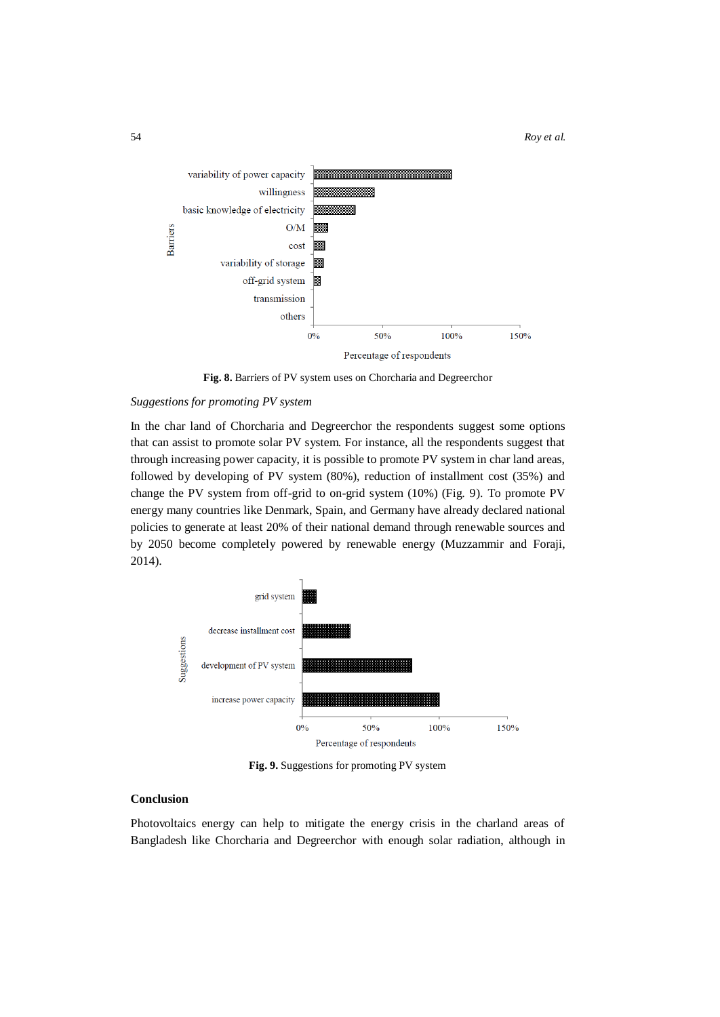

**Fig. 8.** Barriers of PV system uses on Chorcharia and Degreerchor

# *Suggestions for promoting PV system*

In the char land of Chorcharia and Degreerchor the respondents suggest some options that can assist to promote solar PV system. For instance, all the respondents suggest that through increasing power capacity, it is possible to promote PV system in char land areas, followed by developing of PV system (80%), reduction of installment cost (35%) and change the PV system from off-grid to on-grid system (10%) (Fig. 9). To promote PV energy many countries like Denmark, Spain, and Germany have already declared national policies to generate at least 20% of their national demand through renewable sources and by 2050 become completely powered by renewable energy (Muzzammir and Foraji, 2014).



**Fig. 9.** Suggestions for promoting PV system

# **Conclusion**

Photovoltaics energy can help to mitigate the energy crisis in the charland areas of Bangladesh like Chorcharia and Degreerchor with enough solar radiation, although in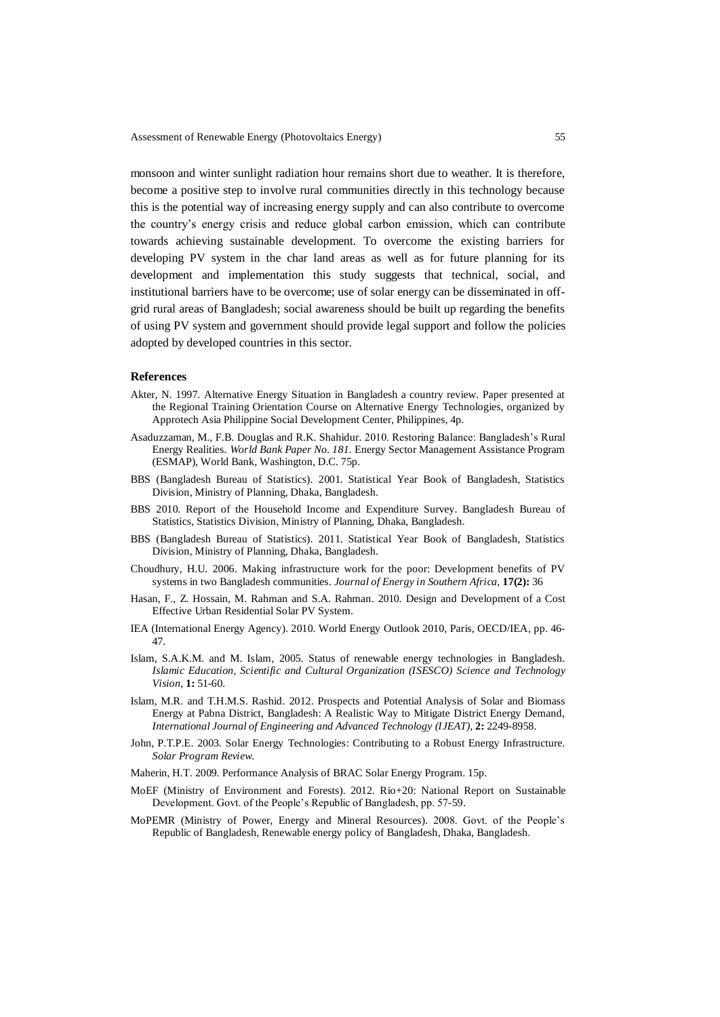monsoon and winter sunlight radiation hour remains short due to weather. It is therefore, become a positive step to involve rural communities directly in this technology because this is the potential way of increasing energy supply and can also contribute to overcome the country's energy crisis and reduce global carbon emission, which can contribute towards achieving sustainable development. To overcome the existing barriers for developing PV system in the char land areas as well as for future planning for its development and implementation this study suggests that technical, social, and institutional barriers have to be overcome; use of solar energy can be disseminated in offgrid rural areas of Bangladesh; social awareness should be built up regarding the benefits of using PV system and government should provide legal support and follow the policies adopted by developed countries in this sector.

### **References**

- Akter, N. 1997. Alternative Energy Situation in Bangladesh a country review. Paper presented at the Regional Training Orientation Course on Alternative Energy Technologies, organized by Approtech Asia Philippine Social Development Center, Philippines, 4p.
- Asaduzzaman, M., F.B. Douglas and R.K. Shahidur. 2010. Restoring Balance: Bangladesh's Rural Energy Realities. *World Bank Paper No. 181.* Energy Sector Management Assistance Program (ESMAP), World Bank, Washington, D.C. 75p.
- BBS (Bangladesh Bureau of Statistics). 2001. Statistical Year Book of Bangladesh, Statistics Division, Ministry of Planning, Dhaka, Bangladesh.
- BBS 2010. Report of the Household Income and Expenditure Survey. Bangladesh Bureau of Statistics, Statistics Division, Ministry of Planning, Dhaka, Bangladesh.
- BBS (Bangladesh Bureau of Statistics). 2011. Statistical Year Book of Bangladesh, Statistics Division, Ministry of Planning, Dhaka, Bangladesh.
- Choudhury, H.U. 2006. Making infrastructure work for the poor: Development benefits of PV systems in two Bangladesh communities. *Journal of Energy in Southern Africa,* **17(2):** 36
- Hasan, F., Z. Hossain, M. Rahman and S.A. Rahman. 2010. Design and Development of a Cost Effective Urban Residential Solar PV System.
- IEA (International Energy Agency). 2010. World Energy Outlook 2010*,* Paris, OECD/IEA, pp. 46- 47.
- Islam, S.A.K.M. and M. Islam, 2005. Status of renewable energy technologies in Bangladesh. *Islamic Education, Scientific and Cultural Organization (ISESCO) Science and Technology Vision*, **1:** 51-60.
- Islam, M.R. and T.H.M.S. Rashid. 2012. Prospects and Potential Analysis of Solar and Biomass Energy at Pabna District, Bangladesh: A Realistic Way to Mitigate District Energy Demand, *International Journal of Engineering and Advanced Technology (IJEAT),* **2:** 2249-8958.
- John, P.T.P.E. 2003. Solar Energy Technologies: Contributing to a Robust Energy Infrastructure. *Solar Program Review.*
- Maherin, H.T. 2009. Performance Analysis of BRAC Solar Energy Program. 15p.
- MoEF (Ministry of Environment and Forests). 2012. Rio+20: National Report on Sustainable Development. Govt. of the People's Republic of Bangladesh, pp. 57-59.
- MoPEMR (Ministry of Power, Energy and Mineral Resources). 2008. Govt. of the People's Republic of Bangladesh, Renewable energy policy of Bangladesh, Dhaka, Bangladesh.